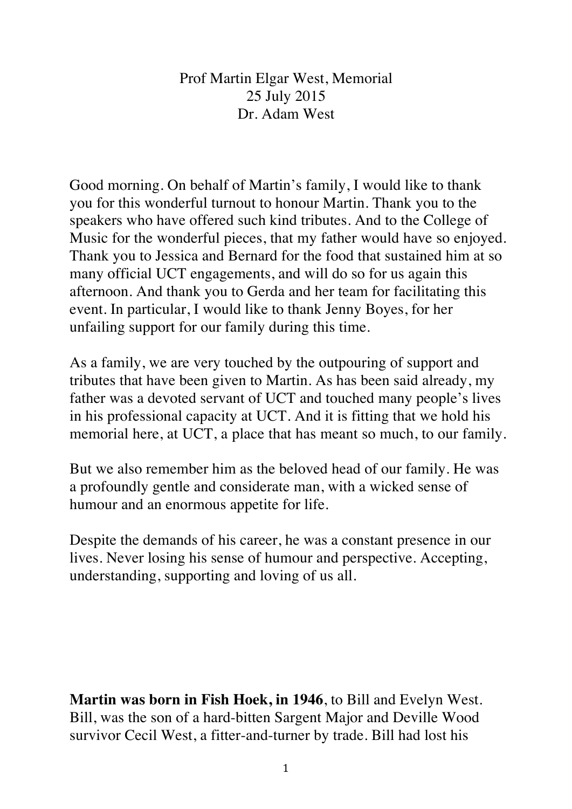Prof Martin Elgar West, Memorial 25 July 2015 Dr. Adam West

Good morning. On behalf of Martin's family, I would like to thank you for this wonderful turnout to honour Martin. Thank you to the speakers who have offered such kind tributes. And to the College of Music for the wonderful pieces, that my father would have so enjoyed. Thank you to Jessica and Bernard for the food that sustained him at so many official UCT engagements, and will do so for us again this afternoon. And thank you to Gerda and her team for facilitating this event. In particular, I would like to thank Jenny Boyes, for her unfailing support for our family during this time.

As a family, we are very touched by the outpouring of support and tributes that have been given to Martin. As has been said already, my father was a devoted servant of UCT and touched many people's lives in his professional capacity at UCT. And it is fitting that we hold his memorial here, at UCT, a place that has meant so much, to our family.

But we also remember him as the beloved head of our family. He was a profoundly gentle and considerate man, with a wicked sense of humour and an enormous appetite for life.

Despite the demands of his career, he was a constant presence in our lives. Never losing his sense of humour and perspective. Accepting, understanding, supporting and loving of us all.

**Martin was born in Fish Hoek, in 1946**, to Bill and Evelyn West. Bill, was the son of a hard-bitten Sargent Major and Deville Wood survivor Cecil West, a fitter-and-turner by trade. Bill had lost his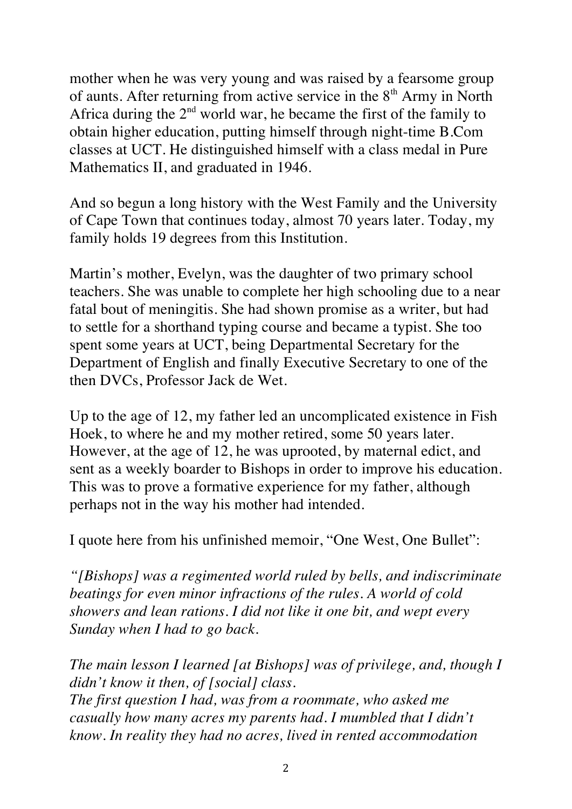mother when he was very young and was raised by a fearsome group of aunts. After returning from active service in the  $8<sup>th</sup>$  Army in North Africa during the  $2<sup>nd</sup>$  world war, he became the first of the family to obtain higher education, putting himself through night-time B.Com classes at UCT. He distinguished himself with a class medal in Pure Mathematics II, and graduated in 1946.

And so begun a long history with the West Family and the University of Cape Town that continues today, almost 70 years later. Today, my family holds 19 degrees from this Institution.

Martin's mother, Evelyn, was the daughter of two primary school teachers. She was unable to complete her high schooling due to a near fatal bout of meningitis. She had shown promise as a writer, but had to settle for a shorthand typing course and became a typist. She too spent some years at UCT, being Departmental Secretary for the Department of English and finally Executive Secretary to one of the then DVCs, Professor Jack de Wet.

Up to the age of 12, my father led an uncomplicated existence in Fish Hoek, to where he and my mother retired, some 50 years later. However, at the age of 12, he was uprooted, by maternal edict, and sent as a weekly boarder to Bishops in order to improve his education. This was to prove a formative experience for my father, although perhaps not in the way his mother had intended.

I quote here from his unfinished memoir, "One West, One Bullet":

*"[Bishops] was a regimented world ruled by bells, and indiscriminate beatings for even minor infractions of the rules. A world of cold showers and lean rations. I did not like it one bit, and wept every Sunday when I had to go back.* 

*The main lesson I learned [at Bishops] was of privilege, and, though I didn't know it then, of [social] class. The first question I had, was from a roommate, who asked me casually how many acres my parents had. I mumbled that I didn't know. In reality they had no acres, lived in rented accommodation*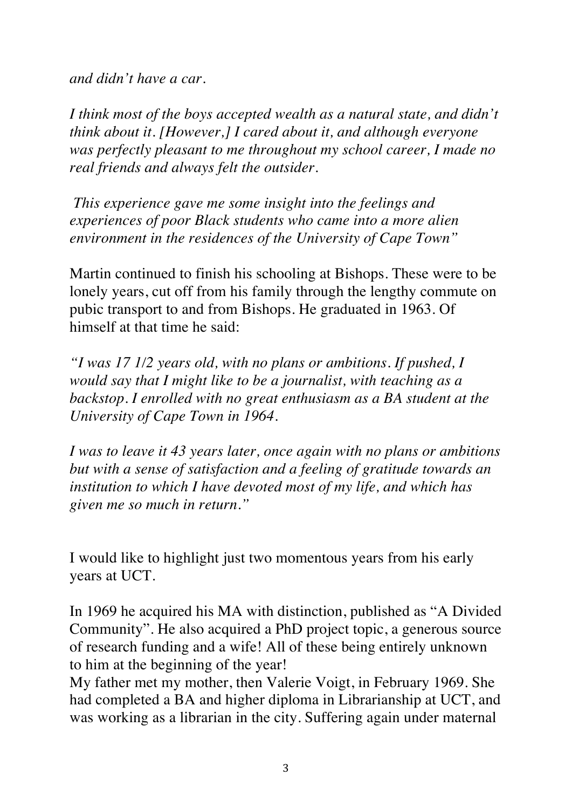*and didn't have a car.* 

*I think most of the boys accepted wealth as a natural state, and didn't think about it. [However,] I cared about it, and although everyone was perfectly pleasant to me throughout my school career, I made no real friends and always felt the outsider.*

*This experience gave me some insight into the feelings and experiences of poor Black students who came into a more alien environment in the residences of the University of Cape Town"*

Martin continued to finish his schooling at Bishops. These were to be lonely years, cut off from his family through the lengthy commute on pubic transport to and from Bishops. He graduated in 1963. Of himself at that time he said:

*"I was 17 1/2 years old, with no plans or ambitions. If pushed, I would say that I might like to be a journalist, with teaching as a backstop. I enrolled with no great enthusiasm as a BA student at the University of Cape Town in 1964.* 

*I was to leave it 43 years later, once again with no plans or ambitions but with a sense of satisfaction and a feeling of gratitude towards an institution to which I have devoted most of my life, and which has given me so much in return."*

I would like to highlight just two momentous years from his early years at UCT.

In 1969 he acquired his MA with distinction, published as "A Divided Community". He also acquired a PhD project topic, a generous source of research funding and a wife! All of these being entirely unknown to him at the beginning of the year!

My father met my mother, then Valerie Voigt, in February 1969. She had completed a BA and higher diploma in Librarianship at UCT, and was working as a librarian in the city. Suffering again under maternal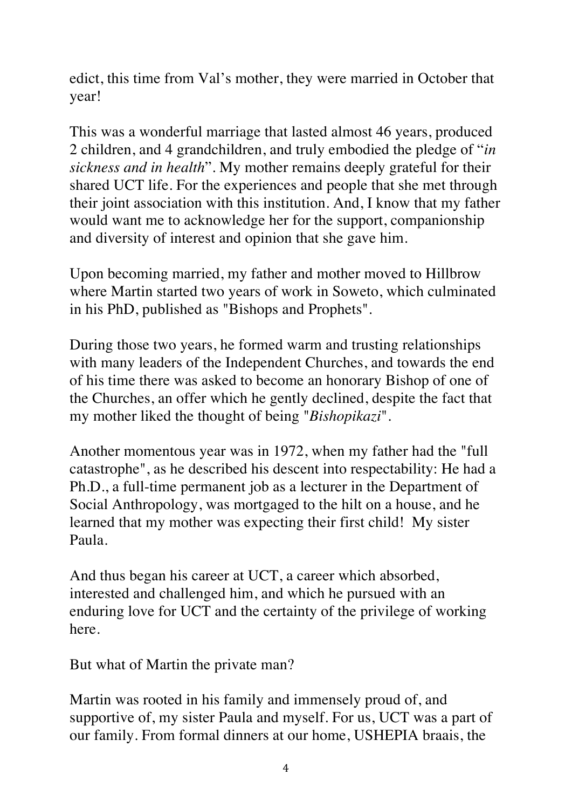edict, this time from Val's mother, they were married in October that year!

This was a wonderful marriage that lasted almost 46 years, produced 2 children, and 4 grandchildren, and truly embodied the pledge of "*in sickness and in health*". My mother remains deeply grateful for their shared UCT life. For the experiences and people that she met through their joint association with this institution. And, I know that my father would want me to acknowledge her for the support, companionship and diversity of interest and opinion that she gave him.

Upon becoming married, my father and mother moved to Hillbrow where Martin started two years of work in Soweto, which culminated in his PhD, published as "Bishops and Prophets".

During those two years, he formed warm and trusting relationships with many leaders of the Independent Churches, and towards the end of his time there was asked to become an honorary Bishop of one of the Churches, an offer which he gently declined, despite the fact that my mother liked the thought of being "*Bishopikazi*".

Another momentous year was in 1972, when my father had the "full catastrophe", as he described his descent into respectability: He had a Ph.D., a full-time permanent job as a lecturer in the Department of Social Anthropology, was mortgaged to the hilt on a house, and he learned that my mother was expecting their first child! My sister Paula.

And thus began his career at UCT, a career which absorbed, interested and challenged him, and which he pursued with an enduring love for UCT and the certainty of the privilege of working here.

But what of Martin the private man?

Martin was rooted in his family and immensely proud of, and supportive of, my sister Paula and myself. For us, UCT was a part of our family. From formal dinners at our home, USHEPIA braais, the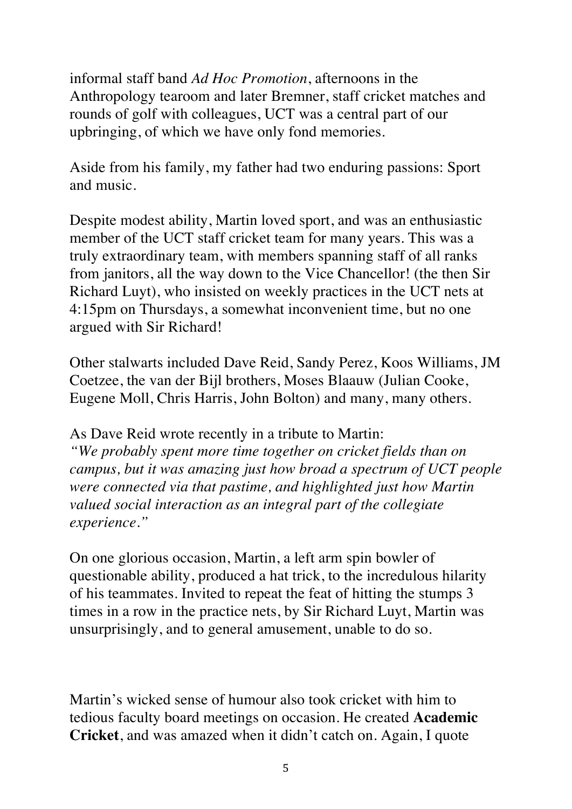informal staff band *Ad Hoc Promotion*, afternoons in the Anthropology tearoom and later Bremner, staff cricket matches and rounds of golf with colleagues, UCT was a central part of our upbringing, of which we have only fond memories.

Aside from his family, my father had two enduring passions: Sport and music.

Despite modest ability, Martin loved sport, and was an enthusiastic member of the UCT staff cricket team for many years. This was a truly extraordinary team, with members spanning staff of all ranks from janitors, all the way down to the Vice Chancellor! (the then Sir Richard Luyt), who insisted on weekly practices in the UCT nets at 4:15pm on Thursdays, a somewhat inconvenient time, but no one argued with Sir Richard!

Other stalwarts included Dave Reid, Sandy Perez, Koos Williams, JM Coetzee, the van der Bijl brothers, Moses Blaauw (Julian Cooke, Eugene Moll, Chris Harris, John Bolton) and many, many others.

As Dave Reid wrote recently in a tribute to Martin: *"We probably spent more time together on cricket fields than on campus, but it was amazing just how broad a spectrum of UCT people were connected via that pastime, and highlighted just how Martin valued social interaction as an integral part of the collegiate experience."*

On one glorious occasion, Martin, a left arm spin bowler of questionable ability, produced a hat trick, to the incredulous hilarity of his teammates. Invited to repeat the feat of hitting the stumps 3 times in a row in the practice nets, by Sir Richard Luyt, Martin was unsurprisingly, and to general amusement, unable to do so.

Martin's wicked sense of humour also took cricket with him to tedious faculty board meetings on occasion. He created **Academic Cricket**, and was amazed when it didn't catch on. Again, I quote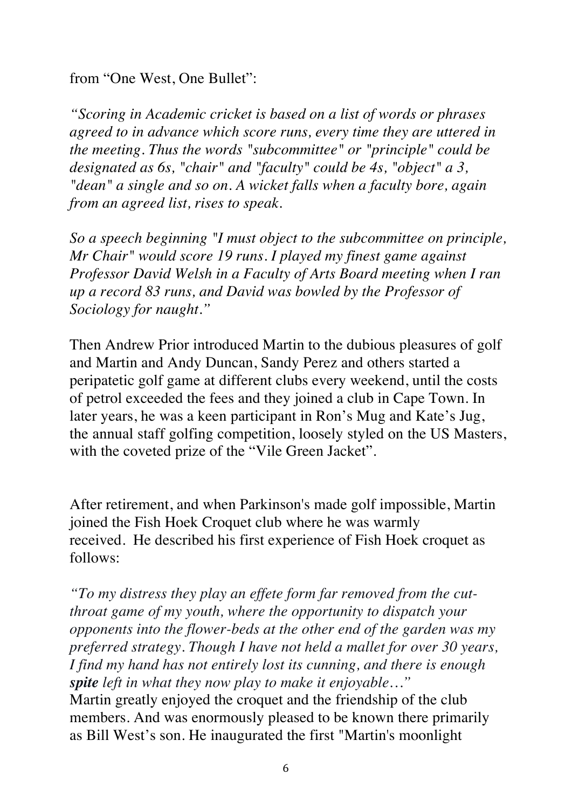from "One West, One Bullet":

*"Scoring in Academic cricket is based on a list of words or phrases agreed to in advance which score runs, every time they are uttered in the meeting. Thus the words "subcommittee" or "principle" could be designated as 6s, "chair" and "faculty" could be 4s, "object" a 3, "dean" a single and so on. A wicket falls when a faculty bore, again from an agreed list, rises to speak.* 

*So a speech beginning "I must object to the subcommittee on principle, Mr Chair" would score 19 runs. I played my finest game against Professor David Welsh in a Faculty of Arts Board meeting when I ran up a record 83 runs, and David was bowled by the Professor of Sociology for naught."*

Then Andrew Prior introduced Martin to the dubious pleasures of golf and Martin and Andy Duncan, Sandy Perez and others started a peripatetic golf game at different clubs every weekend, until the costs of petrol exceeded the fees and they joined a club in Cape Town. In later years, he was a keen participant in Ron's Mug and Kate's Jug, the annual staff golfing competition, loosely styled on the US Masters, with the coveted prize of the "Vile Green Jacket".

After retirement, and when Parkinson's made golf impossible, Martin joined the Fish Hoek Croquet club where he was warmly received. He described his first experience of Fish Hoek croquet as follows:

*"To my distress they play an effete form far removed from the cutthroat game of my youth, where the opportunity to dispatch your opponents into the flower-beds at the other end of the garden was my preferred strategy. Though I have not held a mallet for over 30 years, I find my hand has not entirely lost its cunning, and there is enough spite left in what they now play to make it enjoyable…"* Martin greatly enjoyed the croquet and the friendship of the club members. And was enormously pleased to be known there primarily as Bill West's son. He inaugurated the first "Martin's moonlight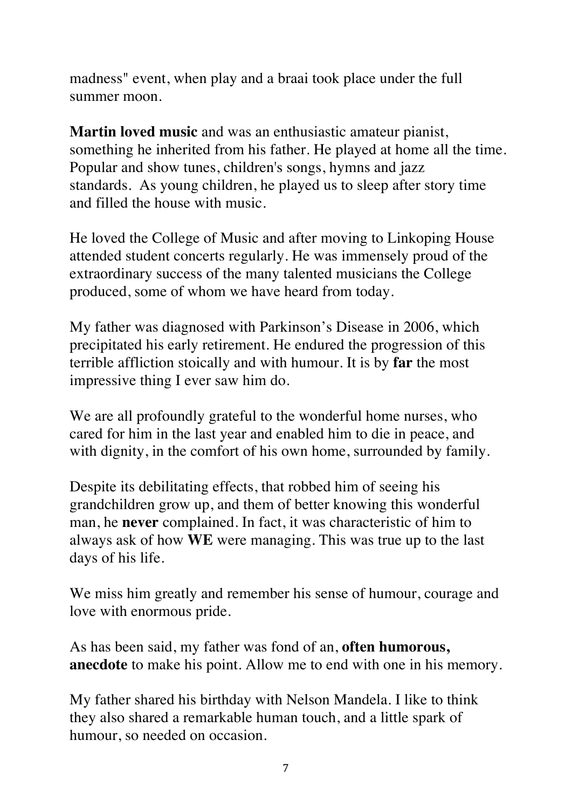madness" event, when play and a braai took place under the full summer moon.

**Martin loved music** and was an enthusiastic amateur pianist, something he inherited from his father. He played at home all the time. Popular and show tunes, children's songs, hymns and jazz standards. As young children, he played us to sleep after story time and filled the house with music.

He loved the College of Music and after moving to Linkoping House attended student concerts regularly. He was immensely proud of the extraordinary success of the many talented musicians the College produced, some of whom we have heard from today.

My father was diagnosed with Parkinson's Disease in 2006, which precipitated his early retirement. He endured the progression of this terrible affliction stoically and with humour. It is by **far** the most impressive thing I ever saw him do.

We are all profoundly grateful to the wonderful home nurses, who cared for him in the last year and enabled him to die in peace, and with dignity, in the comfort of his own home, surrounded by family.

Despite its debilitating effects, that robbed him of seeing his grandchildren grow up, and them of better knowing this wonderful man, he **never** complained. In fact, it was characteristic of him to always ask of how **WE** were managing. This was true up to the last days of his life.

We miss him greatly and remember his sense of humour, courage and love with enormous pride.

As has been said, my father was fond of an, **often humorous, anecdote** to make his point. Allow me to end with one in his memory.

My father shared his birthday with Nelson Mandela. I like to think they also shared a remarkable human touch, and a little spark of humour, so needed on occasion.